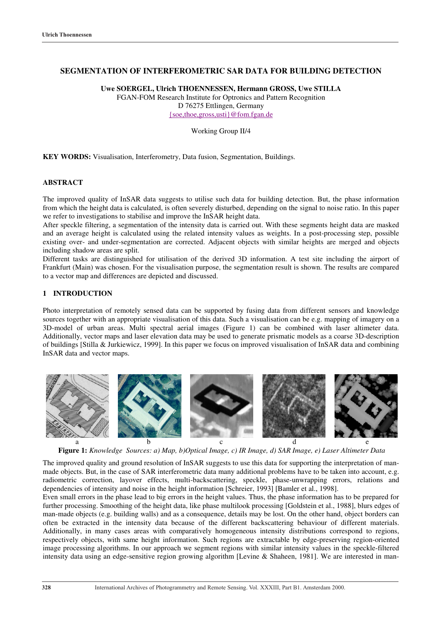# **SEGMENTATION OF INTERFEROMETRIC SAR DATA FOR BUILDING DETECTION**

**Uwe SOERGEL, Ulrich THOENNESSEN, Hermann GROSS, Uwe STILLA** FGAN-FOM Research Institute for Optronics and Pattern Recognition D 76275 Ettlingen, Germany {soe,thoe,gross,usti}@fom.fgan.de

Working Group II/4

**KEY WORDS:** Visualisation, Interferometry, Data fusion, Segmentation, Buildings.

### **ABSTRACT**

The improved quality of InSAR data suggests to utilise such data for building detection. But, the phase information from which the height data is calculated, is often severely disturbed, depending on the signal to noise ratio. In this paper we refer to investigations to stabilise and improve the InSAR height data.

After speckle filtering, a segmentation of the intensity data is carried out. With these segments height data are masked and an average height is calculated using the related intensity values as weights. In a post-processing step, possible existing over- and under-segmentation are corrected. Adjacent objects with similar heights are merged and objects including shadow areas are split.

Different tasks are distinguished for utilisation of the derived 3D information. A test site including the airport of Frankfurt (Main) was chosen. For the visualisation purpose, the segmentation result is shown. The results are compared to a vector map and differences are depicted and discussed.

### **1 INTRODUCTION**

Photo interpretation of remotely sensed data can be supported by fusing data from different sensors and knowledge sources together with an appropriate visualisation of this data. Such a visualisation can be e.g. mapping of imagery on a 3D-model of urban areas. Multi spectral aerial images (Figure 1) can be combined with laser altimeter data. Additionally, vector maps and laser elevation data may be used to generate prismatic models as a coarse 3D-description of buildings [Stilla & Jurkiewicz, 1999]. In this paper we focus on improved visualisation of InSAR data and combining InSAR data and vector maps.



**Figure 1:** *Knowledge Sources: a) Map, b)Optical Image, c) IR Image, d) SAR Image, e) Laser Altimeter Data*

The improved quality and ground resolution of InSAR suggests to use this data for supporting the interpretation of manmade objects. But, in the case of SAR interferometric data many additional problems have to be taken into account, e.g. radiometric correction, layover effects, multi-backscattering, speckle, phase-unwrapping errors, relations and dependencies of intensity and noise in the height information [Schreier, 1993] [Bamler et al., 1998].

Even small errors in the phase lead to big errors in the height values. Thus, the phase information has to be prepared for further processing. Smoothing of the height data, like phase multilook processing [Goldstein et al., 1988], blurs edges of man-made objects (e.g. building walls) and as a consequence, details may be lost. On the other hand, object borders can often be extracted in the intensity data because of the different backscattering behaviour of different materials. Additionally, in many cases areas with comparatively homogeneous intensity distributions correspond to regions, respectively objects, with same height information. Such regions are extractable by edge-preserving region-oriented image processing algorithms. In our approach we segment regions with similar intensity values in the speckle-filtered intensity data using an edge-sensitive region growing algorithm [Levine & Shaheen, 1981]. We are interested in man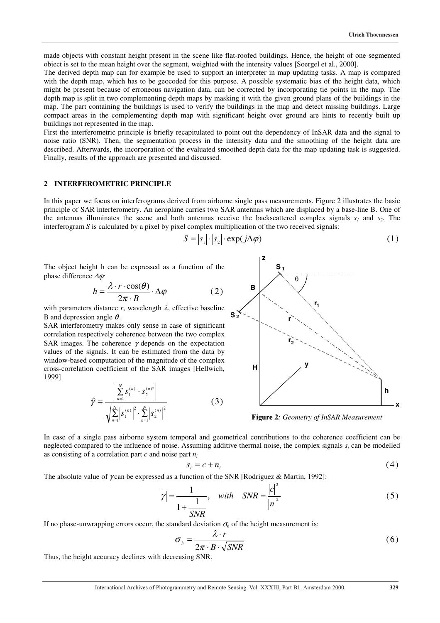made objects with constant height present in the scene like flat-roofed buildings. Hence, the height of one segmented object is set to the mean height over the segment, weighted with the intensity values [Soergel et al., 2000].

The derived depth map can for example be used to support an interpreter in map updating tasks. A map is compared with the depth map, which has to be geocoded for this purpose. A possible systematic bias of the height data, which might be present because of erroneous navigation data, can be corrected by incorporating tie points in the map. The depth map is split in two complementing depth maps by masking it with the given ground plans of the buildings in the map. The part containing the buildings is used to verify the buildings in the map and detect missing buildings. Large compact areas in the complementing depth map with significant height over ground are hints to recently built up buildings not represented in the map.

First the interferometric principle is briefly recapitulated to point out the dependency of InSAR data and the signal to noise ratio (SNR). Then, the segmentation process in the intensity data and the smoothing of the height data are described. Afterwards, the incorporation of the evaluated smoothed depth data for the map updating task is suggested. Finally, results of the approach are presented and discussed.

# **2 INTERFEROMETRIC PRINCIPLE**

In this paper we focus on interferograms derived from airborne single pass measurements. Figure 2 illustrates the basic principle of SAR interferometry. An aeroplane carries two SAR antennas which are displaced by a base-line B. One of the antennas illuminates the scene and both antennas receive the backscattered complex signals  $s_1$  and  $s_2$ . The interferogram *S* is calculated by a pixel by pixel complex multiplication of the two received signals:

$$
S = |s_1| \cdot |s_2| \cdot \exp(j\Delta\varphi)
$$
 (1)

The object height h can be expressed as a function of the phase difference ∆ϕ*:*

$$
h = \frac{\lambda \cdot r \cdot \cos(\theta)}{2\pi \cdot B} \cdot \Delta \varphi \tag{2}
$$

with parameters distance  $r$ , wavelength  $\lambda$ , effective baseline B and depression angle  $\theta$ .

SAR interferometry makes only sense in case of significant correlation respectively coherence between the two complex SAR images. The coherence  $\gamma$  depends on the expectation values of the signals. It can be estimated from the data by window-based computation of the magnitude of the complex cross-correlation coefficient of the SAR images [Hellwich, 1999]

$$
\hat{\gamma} = \frac{\left| \sum_{n=1}^{N} s_1^{(n)} \cdot s_2^{(n)*} \right|}{\sqrt{\sum_{n=1}^{N} \left| s_1^{(n)} \right|^2 \cdot \sum_{n=1}^{N} \left| s_2^{(n)} \right|^2}}
$$
(3)



**Figure 2***: Geometry of InSAR Measurement*

In case of a single pass airborne system temporal and geometrical contributions to the coherence coefficient can be neglected compared to the influence of noise. Assuming additive thermal noise, the complex signals  $s_i$  can be modelled as consisting of a correlation part *c* and noise part *ni*

$$
s_i = c + n_i \tag{4}
$$

The absolute value of γ can be expressed as a function of the SNR [Rodriguez & Martin, 1992]:

$$
|\gamma| = \frac{1}{1 + \frac{1}{SNR}}, \quad with \quad SNR = \frac{|c|^2}{|n|^2}
$$
 (5)

If no phase-unwrapping errors occur, the standard deviation  $\sigma_h$  of the height measurement is:

$$
\sigma_{h} = \frac{\lambda \cdot r}{2\pi \cdot B \cdot \sqrt{SNR}}
$$
\n(6)

Thus, the height accuracy declines with decreasing SNR.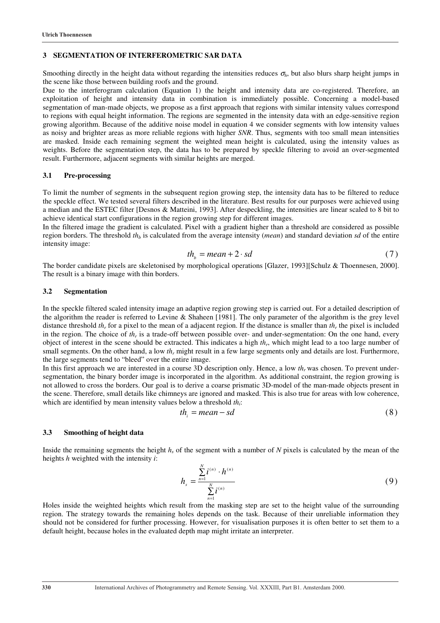#### **3 SEGMENTATION OF INTERFEROMETRIC SAR DATA**

Smoothing directly in the height data without regarding the intensities reduces  $\sigma_h$ , but also blurs sharp height jumps in the scene like those between building roofs and the ground.

Due to the interferogram calculation (Equation 1) the height and intensity data are co-registered. Therefore, an exploitation of height and intensity data in combination is immediately possible. Concerning a model-based segmentation of man-made objects, we propose as a first approach that regions with similar intensity values correspond to regions with equal height information. The regions are segmented in the intensity data with an edge-sensitive region growing algorithm. Because of the additive noise model in equation 4 we consider segments with low intensity values as noisy and brighter areas as more reliable regions with higher *SNR*. Thus, segments with too small mean intensities are masked. Inside each remaining segment the weighted mean height is calculated, using the intensity values as weights. Before the segmentation step, the data has to be prepared by speckle filtering to avoid an over-segmented result. Furthermore, adjacent segments with similar heights are merged.

#### **3.1 Pre-processing**

To limit the number of segments in the subsequent region growing step, the intensity data has to be filtered to reduce the speckle effect. We tested several filters described in the literature. Best results for our purposes were achieved using a median and the ESTEC filter [Desnos & Matteini, 1993]. After despeckling, the intensities are linear scaled to 8 bit to achieve identical start configurations in the region growing step for different images.

In the filtered image the gradient is calculated. Pixel with a gradient higher than a threshold are considered as possible region borders. The threshold  $th_b$  is calculated from the average intensity (*mean*) and standard deviation *sd* of the entire intensity image:

$$
th_b = mean + 2 \cdot sd \tag{7}
$$

The border candidate pixels are skeletonised by morphological operations [Glazer, 1993][Schulz & Thoennesen, 2000]. The result is a binary image with thin borders.

### **3.2 Segmentation**

In the speckle filtered scaled intensity image an adaptive region growing step is carried out. For a detailed description of the algorithm the reader is referred to Levine & Shaheen [1981]. The only parameter of the algorithm is the grey level distance threshold *th<sub>r</sub>* for a pixel to the mean of a adjacent region. If the distance is smaller than *th<sub>r</sub>* the pixel is included in the region. The choice of  $th_r$  is a trade-off between possible over- and under-segmentation: On the one hand, every object of interest in the scene should be extracted. This indicates a high *thr*, which might lead to a too large number of small segments. On the other hand, a low *th<sub>r</sub>* might result in a few large segments only and details are lost. Furthermore, the large segments tend to "bleed" over the entire image.

In this first approach we are interested in a course 3D description only. Hence, a low  $th_r$  was chosen. To prevent undersegmentation, the binary border image is incorporated in the algorithm. As additional constraint, the region growing is not allowed to cross the borders. Our goal is to derive a coarse prismatic 3D-model of the man-made objects present in the scene. Therefore, small details like chimneys are ignored and masked. This is also true for areas with low coherence, which are identified by mean intensity values below a threshold *th*<sub>i</sub>:

$$
th_i = mean - sd \tag{8}
$$

### **3.3 Smoothing of height data**

Inside the remaining segments the height  $h<sub>s</sub>$  of the segment with a number of *N* pixels is calculated by the mean of the heights *h* weighted with the intensity *i*:

$$
h_s = \frac{\sum_{n=1}^{N} i^{(n)} \cdot h^{(n)}}{\sum_{n=1}^{N} i^{(n)}}
$$
(9)

Holes inside the weighted heights which result from the masking step are set to the height value of the surrounding region. The strategy towards the remaining holes depends on the task. Because of their unreliable information they should not be considered for further processing. However, for visualisation purposes it is often better to set them to a default height, because holes in the evaluated depth map might irritate an interpreter.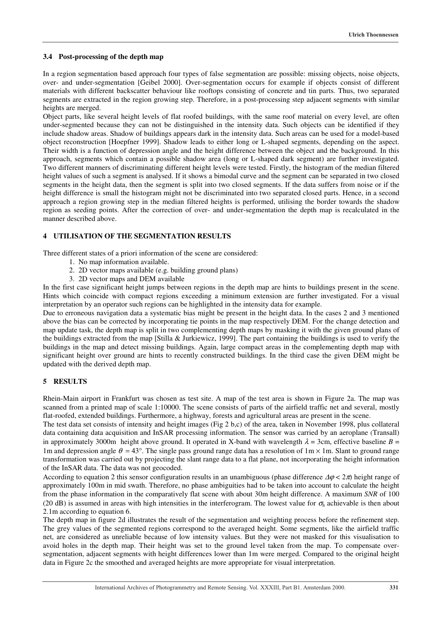### **3.4 Post-processing of the depth map**

In a region segmentation based approach four types of false segmentation are possible: missing objects, noise objects, over- and under-segmentation [Geibel 2000]. Over-segmentation occurs for example if objects consist of different materials with different backscatter behaviour like rooftops consisting of concrete and tin parts. Thus, two separated segments are extracted in the region growing step. Therefore, in a post-processing step adjacent segments with similar heights are merged.

Object parts, like several height levels of flat roofed buildings, with the same roof material on every level, are often under-segmented because they can not be distinguished in the intensity data. Such objects can be identified if they include shadow areas. Shadow of buildings appears dark in the intensity data. Such areas can be used for a model-based object reconstruction [Hoepfner 1999]. Shadow leads to either long or L-shaped segments, depending on the aspect. Their width is a function of depression angle and the height difference between the object and the background. In this approach, segments which contain a possible shadow area (long or L-shaped dark segment) are further investigated. Two different manners of discriminating different height levels were tested. Firstly, the histogram of the median filtered height values of such a segment is analysed. If it shows a bimodal curve and the segment can be separated in two closed segments in the height data, then the segment is split into two closed segments. If the data suffers from noise or if the height difference is small the histogram might not be discriminated into two separated closed parts. Hence, in a second approach a region growing step in the median filtered heights is performed, utilising the border towards the shadow region as seeding points. After the correction of over- and under-segmentation the depth map is recalculated in the manner described above.

# **4 UTILISATION OF THE SEGMENTATION RESULTS**

Three different states of a priori information of the scene are considered:

- 1. No map information available.
- 2. 2D vector maps available (e.g. building ground plans)
- 3. 2D vector maps and DEM available

In the first case significant height jumps between regions in the depth map are hints to buildings present in the scene. Hints which coincide with compact regions exceeding a minimum extension are further investigated. For a visual interpretation by an operator such regions can be highlighted in the intensity data for example.

Due to erroneous navigation data a systematic bias might be present in the height data. In the cases 2 and 3 mentioned above the bias can be corrected by incorporating tie points in the map respectively DEM. For the change detection and map update task, the depth map is split in two complementing depth maps by masking it with the given ground plans of the buildings extracted from the map [Stilla & Jurkiewicz, 1999]. The part containing the buildings is used to verify the buildings in the map and detect missing buildings. Again, large compact areas in the complementing depth map with significant height over ground are hints to recently constructed buildings. In the third case the given DEM might be updated with the derived depth map.

# **5 RESULTS**

Rhein-Main airport in Frankfurt was chosen as test site. A map of the test area is shown in Figure 2a. The map was scanned from a printed map of scale 1:10000. The scene consists of parts of the airfield traffic net and several, mostly flat-roofed, extended buildings. Furthermore, a highway, forests and agricultural areas are present in the scene.

The test data set consists of intensity and height images (Fig 2 b,c) of the area, taken in November 1998, plus collateral data containing data acquisition and InSAR processing information. The sensor was carried by an aeroplane (Transall) in approximately 3000m height above ground. It operated in X-band with wavelength  $\lambda = 3$ cm, effective baseline  $B =$ 1m and depression angle  $\theta = 43^{\circ}$ . The single pass ground range data has a resolution of 1m  $\times$  1m. Slant to ground range transformation was carried out by projecting the slant range data to a flat plane, not incorporating the height information of the InSAR data. The data was not geocoded.

According to equation 2 this sensor configuration results in an unambiguous (phase difference  $\Delta\varphi < 2\pi$ ) height range of approximately 100m in mid swath. Therefore, no phase ambiguities had to be taken into account to calculate the height from the phase information in the comparatively flat scene with about 30m height difference. A maximum *SNR* of 100 (20 dB) is assumed in areas with high intensities in the interferogram. The lowest value for  $\sigma_h$  achievable is then about 2.1m according to equation 6.

The depth map in figure 2d illustrates the result of the segmentation and weighting process before the refinement step. The grey values of the segmented regions correspond to the averaged height. Some segments, like the airfield traffic net, are considered as unreliable because of low intensity values. But they were not masked for this visualisation to avoid holes in the depth map. Their height was set to the ground level taken from the map. To compensate oversegmentation, adjacent segments with height differences lower than 1m were merged. Compared to the original height data in Figure 2c the smoothed and averaged heights are more appropriate for visual interpretation.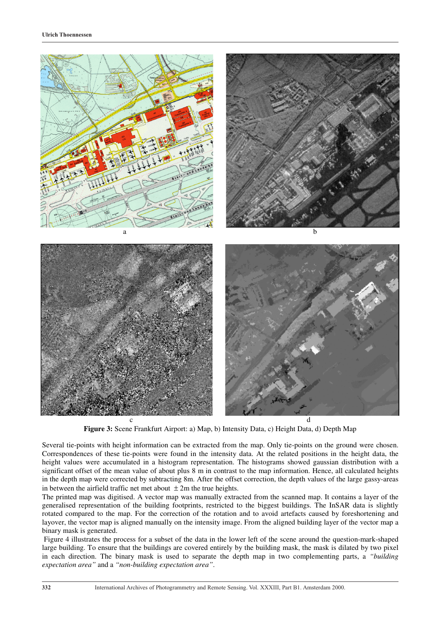

**Figure 3:** Scene Frankfurt Airport: a) Map, b) Intensity Data, c) Height Data, d) Depth Map

Several tie-points with height information can be extracted from the map. Only tie-points on the ground were chosen. Correspondences of these tie-points were found in the intensity data. At the related positions in the height data, the height values were accumulated in a histogram representation. The histograms showed gaussian distribution with a significant offset of the mean value of about plus 8 m in contrast to the map information. Hence, all calculated heights in the depth map were corrected by subtracting 8m. After the offset correction, the depth values of the large gassy-areas in between the airfield traffic net met about  $\pm 2m$  the true heights.

The printed map was digitised. A vector map was manually extracted from the scanned map. It contains a layer of the generalised representation of the building footprints, restricted to the biggest buildings. The InSAR data is slightly rotated compared to the map. For the correction of the rotation and to avoid artefacts caused by foreshortening and layover, the vector map is aligned manually on the intensity image. From the aligned building layer of the vector map a binary mask is generated.

 Figure 4 illustrates the process for a subset of the data in the lower left of the scene around the question-mark-shaped large building. To ensure that the buildings are covered entirely by the building mask, the mask is dilated by two pixel in each direction. The binary mask is used to separate the depth map in two complementing parts, a *"building expectation area"* and a *"non-building expectation area"*.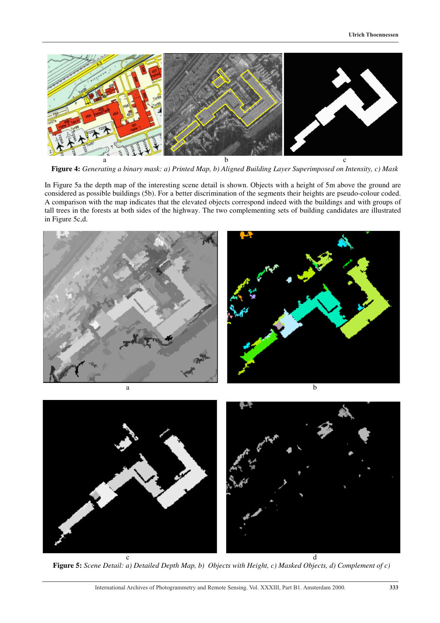

**Figure 4:** *Generating a binary mask: a) Printed Map, b) Aligned Building Layer Superimposed on Intensity, c) Mask*

In Figure 5a the depth map of the interesting scene detail is shown. Objects with a height of 5m above the ground are considered as possible buildings (5b). For a better discrimination of the segments their heights are pseudo-colour coded. A comparison with the map indicates that the elevated objects correspond indeed with the buildings and with groups of tall trees in the forests at both sides of the highway. The two complementing sets of building candidates are illustrated in Figure 5c,d.



c d **Figure 5:** *Scene Detail: a) Detailed Depth Map, b) Objects with Height, c) Masked Objects, d) Complement of c)*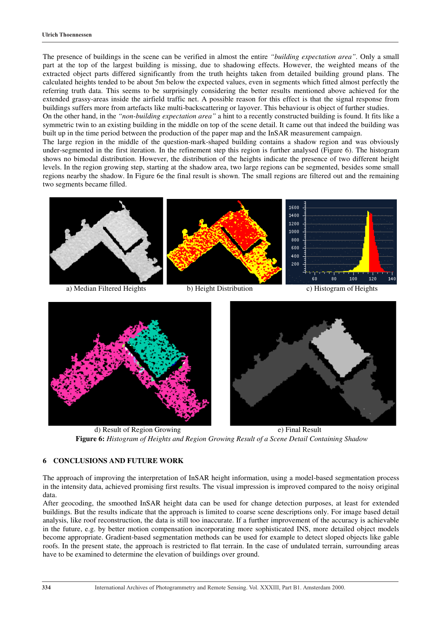The presence of buildings in the scene can be verified in almost the entire *"building expectation area".* Only a small part at the top of the largest building is missing, due to shadowing effects. However, the weighted means of the extracted object parts differed significantly from the truth heights taken from detailed building ground plans. The calculated heights tended to be about 5m below the expected values, even in segments which fitted almost perfectly the referring truth data. This seems to be surprisingly considering the better results mentioned above achieved for the extended grassy-areas inside the airfield traffic net. A possible reason for this effect is that the signal response from buildings suffers more from artefacts like multi-backscattering or layover. This behaviour is object of further studies.

On the other hand, in the *"non-building expectation area"* a hint to a recently constructed building is found. It fits like a symmetric twin to an existing building in the middle on top of the scene detail. It came out that indeed the building was built up in the time period between the production of the paper map and the InSAR measurement campaign.

The large region in the middle of the question-mark-shaped building contains a shadow region and was obviously under-segmented in the first iteration. In the refinement step this region is further analysed (Figure 6). The histogram shows no bimodal distribution. However, the distribution of the heights indicate the presence of two different height levels. In the region growing step, starting at the shadow area, two large regions can be segmented, besides some small regions nearby the shadow. In Figure 6e the final result is shown. The small regions are filtered out and the remaining two segments became filled.





d) Result of Region Growing e) Final Result **Figure 6:** *Histogram of Heights and Region Growing Result of a Scene Detail Containing Shadow*

# **6 CONCLUSIONS AND FUTURE WORK**

The approach of improving the interpretation of InSAR height information, using a model-based segmentation process in the intensity data, achieved promising first results. The visual impression is improved compared to the noisy original data.

After geocoding, the smoothed InSAR height data can be used for change detection purposes, at least for extended buildings. But the results indicate that the approach is limited to coarse scene descriptions only. For image based detail analysis, like roof reconstruction, the data is still too inaccurate. If a further improvement of the accuracy is achievable in the future, e.g. by better motion compensation incorporating more sophisticated INS, more detailed object models become appropriate. Gradient-based segmentation methods can be used for example to detect sloped objects like gable roofs. In the present state, the approach is restricted to flat terrain. In the case of undulated terrain, surrounding areas have to be examined to determine the elevation of buildings over ground.